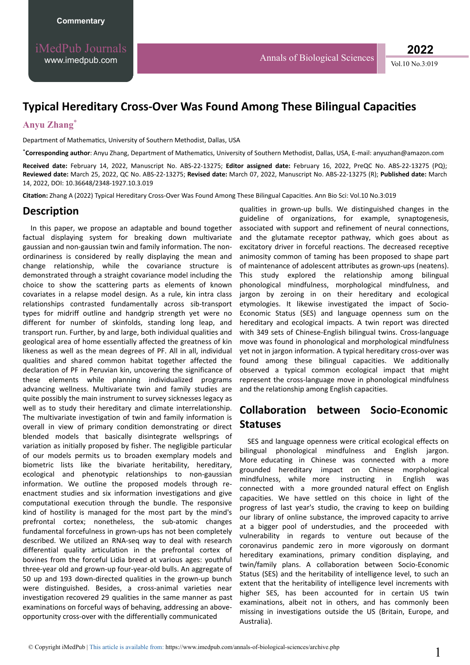# **Typical Hereditary Cross-Over Was Found Among These Bilingual Capacities**

#### **Anyu Zhang**\*

Department of Mathematics, University of Southern Methodist, Dallas, USA

\*Corresponding author: Anyu Zhang, Department of Mathematics, University of Southern Methodist, Dallas, USA, E-mail: anyuzhan@amazon.com

**Received date:** February 14, 2022, Manuscript No. ABS-22-13275; **Editor assigned date:** February 16, 2022, PreQC No. ABS-22-13275 (PQ); **Reviewed date:** March 25, 2022, QC No. ABS-22-13275; **Revised date:** March 07, 2022, Manuscript No. ABS-22-13275 (R); **Published date:** March 14, 2022, DOI: 10.36648/2348-1927.10.3.019

Citation: Zhang A (2022) Typical Hereditary Cross-Over Was Found Among These Bilingual Capacities. Ann Bio Sci: Vol.10 No.3:019

#### **Description**

In this paper, we propose an adaptable and bound together factual displaying system for breaking down multivariate gaussian and non-gaussian twin and family information. The nonordinariness is considered by really displaying the mean and change relationship, while the covariance structure is demonstrated through a straight covariance model including the choice to show the scattering parts as elements of known covariates in a relapse model design. As a rule, kin intra class relationships contrasted fundamentally across sib-transport types for midriff outline and handgrip strength yet were no different for number of skinfolds, standing long leap, and transport run. Further, by and large, both individual qualities and geological area of home essentially affected the greatness of kin likeness as well as the mean degrees of PF. All in all, individual qualities and shared common habitat together affected the declaration of PF in Peruvian kin, uncovering the significance of these elements while planning individualized programs advancing wellness. Multivariate twin and family studies are quite possibly the main instrument to survey sicknesses legacy as well as to study their hereditary and climate interrelationship. The multivariate investigation of twin and family information is overall in view of primary condition demonstrating or direct blended models that basically disintegrate wellsprings of variation as initially proposed by fisher. The negligible particular of our models permits us to broaden exemplary models and biometric lists like the bivariate heritability, hereditary, ecological and phenotypic relationships to non-gaussian information. We outline the proposed models through reenactment studies and six information investigations and give computational execution through the bundle. The responsive kind of hostility is managed for the most part by the mind's prefrontal cortex; nonetheless, the sub-atomic changes fundamental forcefulness in grown-ups has not been completely described. We utilized an RNA-seq way to deal with research differential quality articulation in the prefrontal cortex of bovines from the forceful Lidia breed at various ages: youthful three-year old and grown-up four-year-old bulls. An aggregate of 50 up and 193 down-directed qualities in the grown-up bunch were distinguished. Besides, a cross-animal varieties near investigation recovered 29 qualities in the same manner as past examinations on forceful ways of behaving, addressing an aboveopportunity cross-over with the differentially communicated

qualities in grown-up bulls. We distinguished changes in the guideline of organizations, for example, synaptogenesis, associated with support and refinement of neural connections, and the glutamate receptor pathway, which goes about as excitatory driver in forceful reactions. The decreased receptive animosity common of taming has been proposed to shape part of maintenance of adolescent attributes as grown-ups (neatens). This study explored the relationship among bilingual phonological mindfulness, morphological mindfulness, and jargon by zeroing in on their hereditary and ecological etymologies. It likewise investigated the impact of Socio-Economic Status (SES) and language openness sum on the hereditary and ecological impacts. A twin report was directed with 349 sets of Chinese-English bilingual twins. Cross-language move was found in phonological and morphological mindfulness yet not in jargon information. A typical hereditary cross-over was found among these bilingual capacities. We additionally observed a typical common ecological impact that might represent the cross-language move in phonological mindfulness and the relationship among English capacities.

## **Zollaboration between Socio-Economic Statuses**

SES and language openness were critical ecological effects on bilingual phonological mindfulness and English jargon. More educating in Chinese was connected with a more grounded hereditary impact on Chinese morphological mindfulness, while more instructing in English was connected with a more grounded natural effect on English capacities. We have settled on this choice in light of the progress of last year's studio, the craving to keep on building our library of online substance, the improved capacity to arrive at a bigger pool of understudies, and the proceeded with vulnerability in regards to venture out because of the coronavirus pandemic zero in more vigorously on dormant hereditary examinations, primary condition displaying, and twin/family plans. A collaboration between Socio-Economic Status (SES) and the heritability of intelligence level, to such an extent that the heritability of intelligence level increments with higher SES, has been accounted for in certain US twin examinations, albeit not in others, and has commonly been missing in investigations outside the US (Britain, Europe, and Australia).